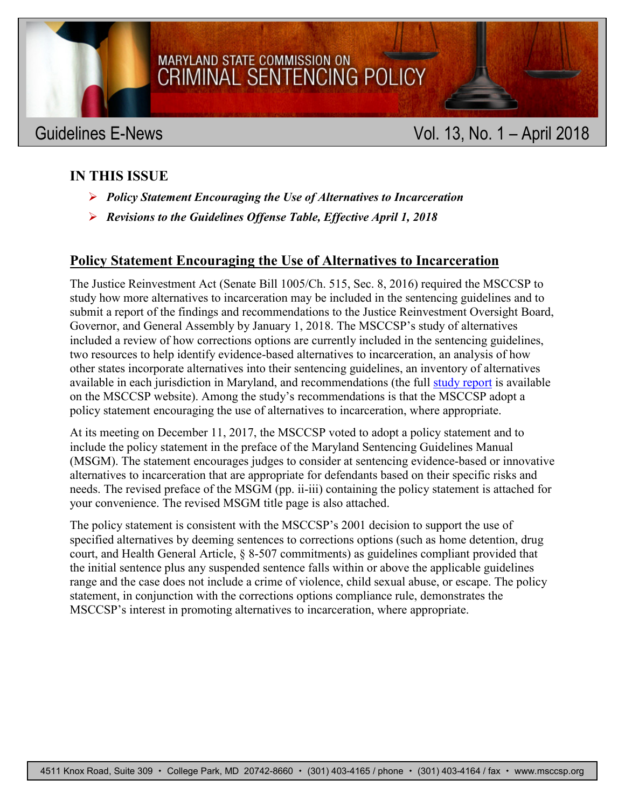

## **IN THIS ISSUE**

- *Policy Statement Encouraging the Use of Alternatives to Incarceration*
- *Revisions to the Guidelines Offense Table, Effective April 1, 2018*

### **Policy Statement Encouraging the Use of Alternatives to Incarceration**

The Justice Reinvestment Act (Senate Bill 1005/Ch. 515, Sec. 8, 2016) required the MSCCSP to study how more alternatives to incarceration may be included in the sentencing guidelines and to submit a report of the findings and recommendations to the Justice Reinvestment Oversight Board, Governor, and General Assembly by January 1, 2018. The MSCCSP's study of alternatives included a review of how corrections options are currently included in the sentencing guidelines, two resources to help identify evidence-based alternatives to incarceration, an analysis of how other states incorporate alternatives into their sentencing guidelines, an inventory of alternatives available in each jurisdiction in Maryland, and recommendations (the full [study](http://msccsp.org/Files/Reports/Alternatives_to_incarceration_Jan2018.pdf) report is available on the MSCCSP website). Among the study's recommendations is that the MSCCSP adopt a policy statement encouraging the use of alternatives to incarceration, where appropriate.

At its meeting on December 11, 2017, the MSCCSP voted to adopt a policy statement and to include the policy statement in the preface of the Maryland Sentencing Guidelines Manual (MSGM). The statement encourages judges to consider at sentencing evidence-based or innovative alternatives to incarceration that are appropriate for defendants based on their specific risks and needs. The revised preface of the MSGM (pp. ii-iii) containing the policy statement is attached for your convenience. The revised MSGM title page is also attached.

The policy statement is consistent with the MSCCSP's 2001 decision to support the use of specified alternatives by deeming sentences to corrections options (such as home detention, drug court, and Health General Article, § 8-507 commitments) as guidelines compliant provided that the initial sentence plus any suspended sentence falls within or above the applicable guidelines range and the case does not include a crime of violence, child sexual abuse, or escape. The policy statement, in conjunction with the corrections options compliance rule, demonstrates the MSCCSP's interest in promoting alternatives to incarceration, where appropriate.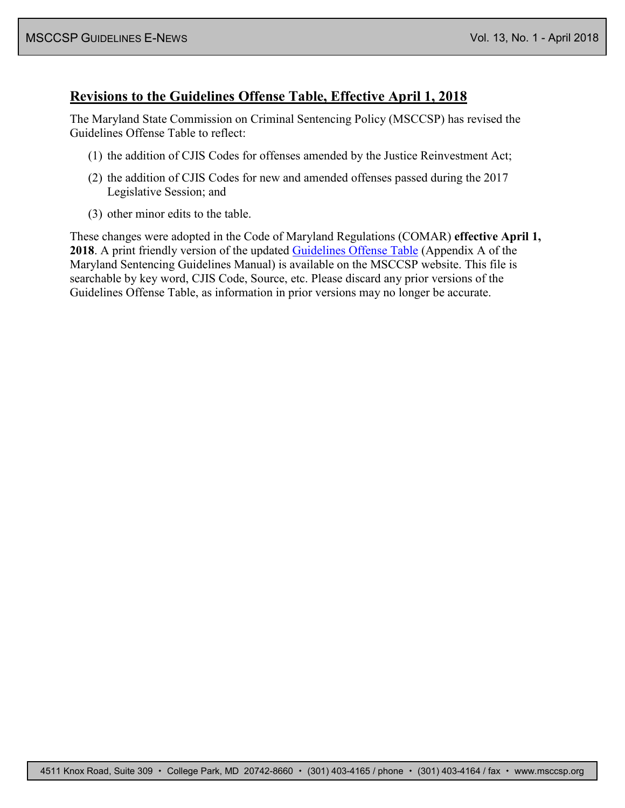### **Revisions to the Guidelines Offense Table, Effective April 1, 2018**

The Maryland State Commission on Criminal Sentencing Policy (MSCCSP) has revised the Guidelines Offense Table to reflect:

- (1) the addition of CJIS Codes for offenses amended by the Justice Reinvestment Act;
- (2) the addition of CJIS Codes for new and amended offenses passed during the 2017 Legislative Session; and
- (3) other minor edits to the table.

These changes were adopted in the Code of Maryland Regulations (COMAR) **effective April 1, 2018**. A print friendly version of the updated [Guidelines Offense Table](http://msccsp.org/Files/Guidelines/offensetable.pdf) (Appendix A of the Maryland Sentencing Guidelines Manual) is available on the MSCCSP website. This file is searchable by key word, CJIS Code, Source, etc. Please discard any prior versions of the Guidelines Offense Table, as information in prior versions may no longer be accurate.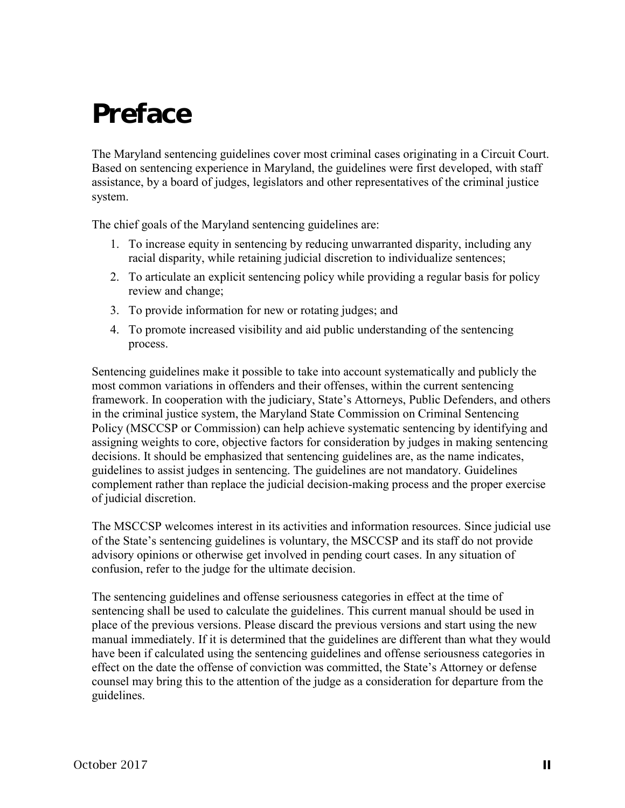# Preface

The Maryland sentencing guidelines cover most criminal cases originating in a Circuit Court. Based on sentencing experience in Maryland, the guidelines were first developed, with staff assistance, by a board of judges, legislators and other representatives of the criminal justice system.

The chief goals of the Maryland sentencing guidelines are:

- 1. To increase equity in sentencing by reducing unwarranted disparity, including any racial disparity, while retaining judicial discretion to individualize sentences;
- 2. To articulate an explicit sentencing policy while providing a regular basis for policy review and change;
- 3. To provide information for new or rotating judges; and
- 4. To promote increased visibility and aid public understanding of the sentencing process.

Sentencing guidelines make it possible to take into account systematically and publicly the most common variations in offenders and their offenses, within the current sentencing framework. In cooperation with the judiciary, State's Attorneys, Public Defenders, and others in the criminal justice system, the Maryland State Commission on Criminal Sentencing Policy (MSCCSP or Commission) can help achieve systematic sentencing by identifying and assigning weights to core, objective factors for consideration by judges in making sentencing decisions. It should be emphasized that sentencing guidelines are, as the name indicates, guidelines to assist judges in sentencing. The guidelines are not mandatory. Guidelines complement rather than replace the judicial decision-making process and the proper exercise of judicial discretion.

The MSCCSP welcomes interest in its activities and information resources. Since judicial use of the State's sentencing guidelines is voluntary, the MSCCSP and its staff do not provide advisory opinions or otherwise get involved in pending court cases. In any situation of confusion, refer to the judge for the ultimate decision.

The sentencing guidelines and offense seriousness categories in effect at the time of sentencing shall be used to calculate the guidelines. This current manual should be used in place of the previous versions. Please discard the previous versions and start using the new manual immediately. If it is determined that the guidelines are different than what they would have been if calculated using the sentencing guidelines and offense seriousness categories in effect on the date the offense of conviction was committed, the State's Attorney or defense counsel may bring this to the attention of the judge as a consideration for departure from the guidelines.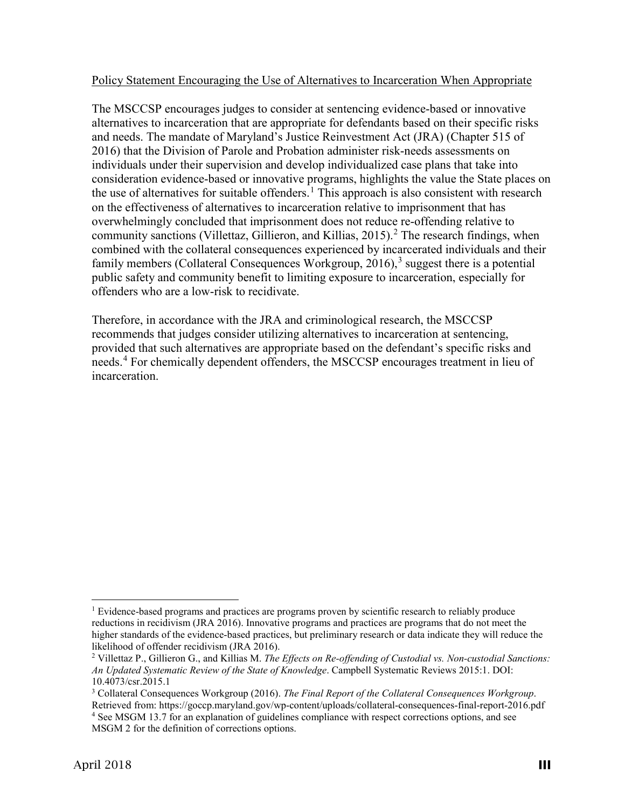#### Policy Statement Encouraging the Use of Alternatives to Incarceration When Appropriate

The MSCCSP encourages judges to consider at sentencing evidence-based or innovative alternatives to incarceration that are appropriate for defendants based on their specific risks and needs. The mandate of Maryland's Justice Reinvestment Act (JRA) (Chapter 515 of 2016) that the Division of Parole and Probation administer risk-needs assessments on individuals under their supervision and develop individualized case plans that take into consideration evidence-based or innovative programs, highlights the value the State places on the use of alternatives for suitable offenders.<sup>[1](#page-3-0)</sup> This approach is also consistent with research on the effectiveness of alternatives to incarceration relative to imprisonment that has overwhelmingly concluded that imprisonment does not reduce re-offending relative to community sanctions (Villettaz, Gillieron, and Killias, [2](#page-3-1)015).<sup>2</sup> The research findings, when combined with the collateral consequences experienced by incarcerated individuals and their family members (Collateral Consequences Workgroup,  $2016$ ),<sup>[3](#page-3-2)</sup> suggest there is a potential public safety and community benefit to limiting exposure to incarceration, especially for offenders who are a low-risk to recidivate.

Therefore, in accordance with the JRA and criminological research, the MSCCSP recommends that judges consider utilizing alternatives to incarceration at sentencing, provided that such alternatives are appropriate based on the defendant's specific risks and needs.<sup>[4](#page-3-3)</sup> For chemically dependent offenders, the MSCCSP encourages treatment in lieu of incarceration.

<span id="page-3-0"></span> $<sup>1</sup>$  Evidence-based programs and practices are programs proven by scientific research to reliably produce</sup> reductions in recidivism (JRA 2016). Innovative programs and practices are programs that do not meet the higher standards of the evidence-based practices, but preliminary research or data indicate they will reduce the likelihood of offender recidivism (JRA 2016).

<span id="page-3-1"></span><sup>2</sup> Villettaz P., Gillieron G., and Killias M. *The Effects on Re-offending of Custodial vs. Non-custodial Sanctions: An Updated Systematic Review of the State of Knowledge*. Campbell Systematic Reviews 2015:1. DOI: 10.4073/csr.2015.1

<span id="page-3-3"></span><span id="page-3-2"></span><sup>3</sup> Collateral Consequences Workgroup (2016). *The Final Report of the Collateral Consequences Workgroup*. Retrieved from: https://goccp.maryland.gov/wp-content/uploads/collateral-consequences-final-report-2016.pdf <sup>4</sup> See MSGM 13.7 for an explanation of guidelines compliance with respect corrections options, and see MSGM 2 for the definition of corrections options.